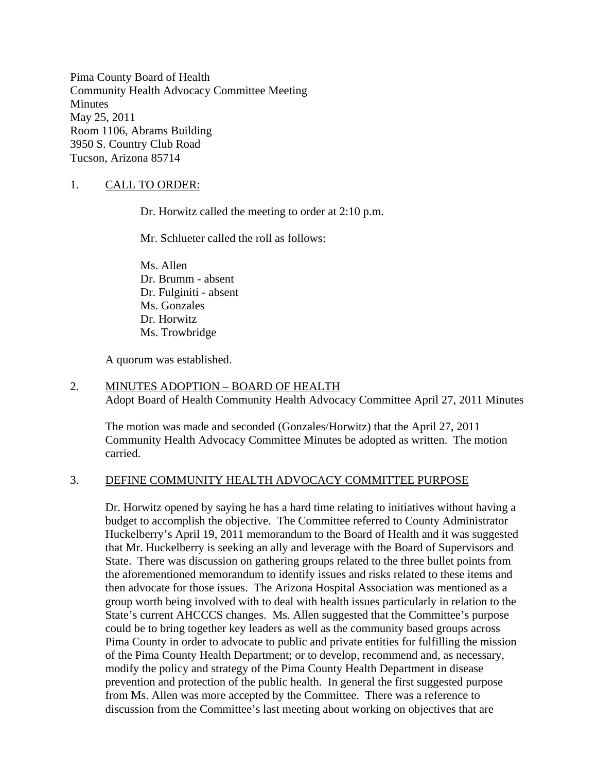Pima County Board of Health Community Health Advocacy Committee Meeting **Minutes** May 25, 2011 Room 1106, Abrams Building 3950 S. Country Club Road Tucson, Arizona 85714

# 1. CALL TO ORDER:

Dr. Horwitz called the meeting to order at 2:10 p.m.

Mr. Schlueter called the roll as follows:

Ms. Allen Dr. Brumm - absent Dr. Fulginiti - absent Ms. Gonzales Dr. Horwitz Ms. Trowbridge

A quorum was established.

#### 2. MINUTES ADOPTION – BOARD OF HEALTH Adopt Board of Health Community Health Advocacy Committee April 27, 2011 Minutes

The motion was made and seconded (Gonzales/Horwitz) that the April 27, 2011 Community Health Advocacy Committee Minutes be adopted as written. The motion carried.

### 3. DEFINE COMMUNITY HEALTH ADVOCACY COMMITTEE PURPOSE

Dr. Horwitz opened by saying he has a hard time relating to initiatives without having a budget to accomplish the objective. The Committee referred to County Administrator Huckelberry's April 19, 2011 memorandum to the Board of Health and it was suggested that Mr. Huckelberry is seeking an ally and leverage with the Board of Supervisors and State. There was discussion on gathering groups related to the three bullet points from the aforementioned memorandum to identify issues and risks related to these items and then advocate for those issues. The Arizona Hospital Association was mentioned as a group worth being involved with to deal with health issues particularly in relation to the State's current AHCCCS changes. Ms. Allen suggested that the Committee's purpose could be to bring together key leaders as well as the community based groups across Pima County in order to advocate to public and private entities for fulfilling the mission of the Pima County Health Department; or to develop, recommend and, as necessary, modify the policy and strategy of the Pima County Health Department in disease prevention and protection of the public health. In general the first suggested purpose from Ms. Allen was more accepted by the Committee. There was a reference to discussion from the Committee's last meeting about working on objectives that are